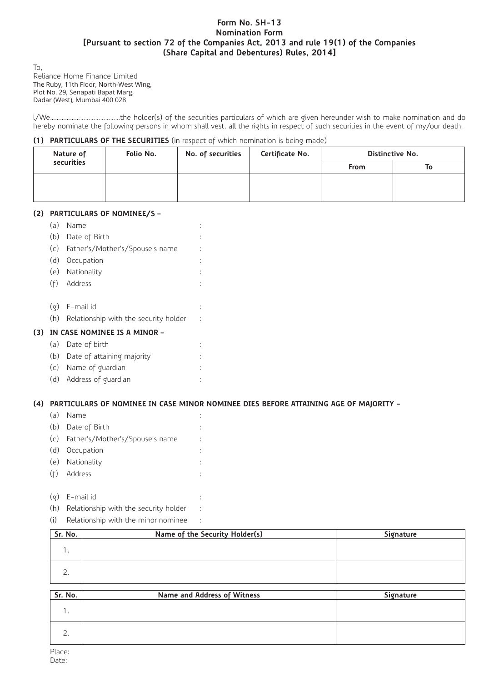## **Form No. SH-13 Nomination Form [Pursuant to section 72 of the Companies Act, 2013 and rule 19(1) of the Companies (Share Capital and Debentures) Rules, 2014]**

To, Reliance Home Finance Limited The Ruby, 11th Floor, North-West Wing, Plot No. 29, Senapati Bapat Marg, Dadar (West), Mumbai 400 028

l/We……………………………………the holder(s) of the securities particulars of which are given hereunder wish to make nomination and do hereby nominate the following persons in whom shall vest, all the rights in respect of such securities in the event of my/our death.

### **(1) PARTICULARS OF THE SECURITIES** (in respect of which nomination is being made)

| Nature of  | Folio No. | No. of securities | Certificate No. | Distinctive No. |    |
|------------|-----------|-------------------|-----------------|-----------------|----|
| securities |           |                   |                 | <b>From</b>     | To |
|            |           |                   |                 |                 |    |
|            |           |                   |                 |                 |    |

## **(2) PARTICULARS OF NOMINEE/S –**

|     | (a) | Name                                  |   |
|-----|-----|---------------------------------------|---|
|     | (b) | Date of Birth                         | ٠ |
|     | (c) | Father's/Mother's/Spouse's name       |   |
|     | (d) | Occupation                            |   |
|     |     | (e) Nationality                       | ٠ |
|     | (f) | Address                               | ٠ |
|     |     |                                       |   |
|     | (Q) | E-mail id                             |   |
|     | (h) | Relationship with the security holder | t |
| (3) |     | IN CASE NOMINEE IS A MINOR -          |   |
|     | (a) | Date of birth                         |   |

- (b) Date of attaining majority :
- (c) Name of guardian :
- (d) Address of guardian :

# **(4) PARTICULARS OF NOMINEE IN CASE MINOR NOMINEE DIES BEFORE ATTAINING AGE OF MAJORITY -**

| (a) | Name                                |   |
|-----|-------------------------------------|---|
|     | (b) Date of Birth                   |   |
|     | (c) Father's/Mother's/Spouse's name |   |
| (d) | Occupation                          | ÷ |
|     | (e) Nationality                     |   |
| (f) | Address                             |   |
|     |                                     |   |

- (g) E-mail id :
- (h) Relationship with the security holder :
- (i) Relationship with the minor nominee :

| Sr. No. | Name of the Security Holder(s) | Signature |
|---------|--------------------------------|-----------|
|         |                                |           |
|         |                                |           |

| Sr. No. | Name and Address of Witness | Signature |
|---------|-----------------------------|-----------|
|         |                             |           |
|         |                             |           |